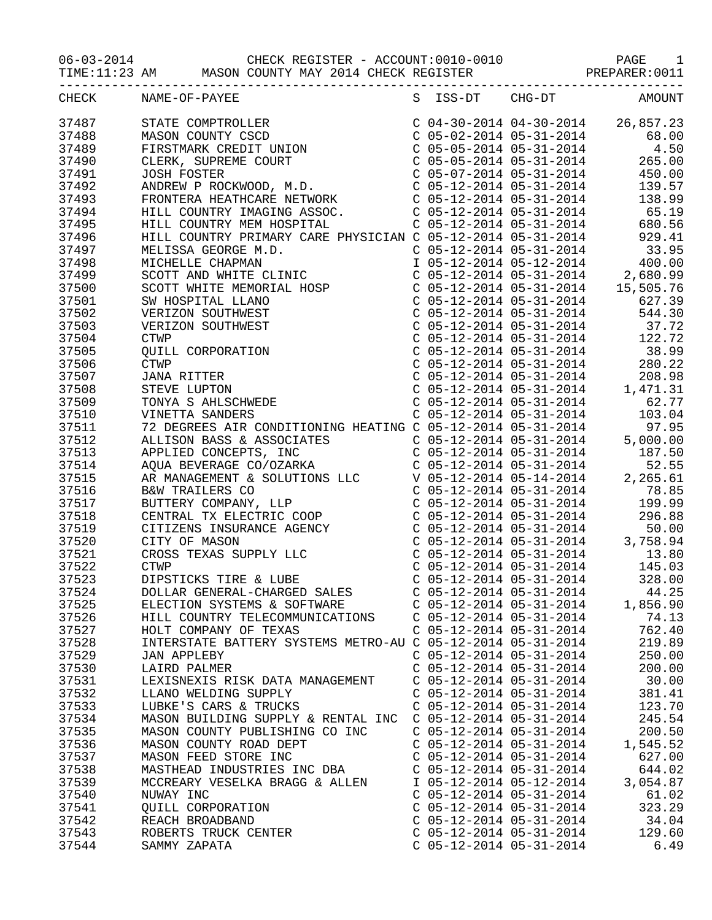06-03-2014 CHECK REGISTER - ACCOUNT:0010-0010 PAGE 1

TIME:11:23 AM MASON COUNTY MAY 2014 CHECK REGISTER PREPARER:0011

| CHECK | NAME-OF-PAYEE                                                                                                                                                                                                                                                                                                                                                                                                                                       |                           | S ISS-DT CHG-DT AMOUNT    |          |
|-------|-----------------------------------------------------------------------------------------------------------------------------------------------------------------------------------------------------------------------------------------------------------------------------------------------------------------------------------------------------------------------------------------------------------------------------------------------------|---------------------------|---------------------------|----------|
| 37487 | $\begin{tabular}{l c c c c} \multicolumn{4}{l}{\textbf{NAME-OF-PAYEE}} & \multicolumn{4}{l}{S} & \multicolumn{4}{l}{S} & \multicolumn{4}{l}{S} & \multicolumn{4}{l}{S} & \multicolumn{4}{l}{S} & \multicolumn{4}{l}{S} & \multicolumn{4}{l}{S} & \multicolumn{4}{l}{S} & \multicolumn{4}{l}{S} & \multicolumn{4}{l}{S} & \multicolumn{4}{l}{S} & \multicolumn{4}{l}{S} & \multicolumn{4}{l}{S} & \multicolumn{4}{l}{S} & \multicolumn{4}{l}{S} & \$ |                           |                           |          |
| 37488 |                                                                                                                                                                                                                                                                                                                                                                                                                                                     |                           |                           |          |
| 37489 |                                                                                                                                                                                                                                                                                                                                                                                                                                                     |                           |                           |          |
|       |                                                                                                                                                                                                                                                                                                                                                                                                                                                     |                           |                           |          |
| 37490 |                                                                                                                                                                                                                                                                                                                                                                                                                                                     |                           |                           |          |
| 37491 |                                                                                                                                                                                                                                                                                                                                                                                                                                                     |                           |                           |          |
| 37492 |                                                                                                                                                                                                                                                                                                                                                                                                                                                     |                           |                           |          |
| 37493 |                                                                                                                                                                                                                                                                                                                                                                                                                                                     |                           |                           |          |
| 37494 |                                                                                                                                                                                                                                                                                                                                                                                                                                                     |                           |                           |          |
| 37495 |                                                                                                                                                                                                                                                                                                                                                                                                                                                     |                           |                           |          |
| 37496 |                                                                                                                                                                                                                                                                                                                                                                                                                                                     |                           |                           |          |
| 37497 |                                                                                                                                                                                                                                                                                                                                                                                                                                                     |                           |                           |          |
| 37498 |                                                                                                                                                                                                                                                                                                                                                                                                                                                     |                           |                           |          |
|       |                                                                                                                                                                                                                                                                                                                                                                                                                                                     |                           |                           |          |
| 37499 |                                                                                                                                                                                                                                                                                                                                                                                                                                                     |                           |                           |          |
| 37500 |                                                                                                                                                                                                                                                                                                                                                                                                                                                     |                           |                           |          |
| 37501 |                                                                                                                                                                                                                                                                                                                                                                                                                                                     |                           |                           |          |
| 37502 |                                                                                                                                                                                                                                                                                                                                                                                                                                                     |                           |                           |          |
| 37503 |                                                                                                                                                                                                                                                                                                                                                                                                                                                     |                           |                           |          |
| 37504 |                                                                                                                                                                                                                                                                                                                                                                                                                                                     |                           |                           |          |
| 37505 |                                                                                                                                                                                                                                                                                                                                                                                                                                                     |                           |                           |          |
| 37506 |                                                                                                                                                                                                                                                                                                                                                                                                                                                     |                           |                           |          |
| 37507 |                                                                                                                                                                                                                                                                                                                                                                                                                                                     |                           |                           |          |
| 37508 |                                                                                                                                                                                                                                                                                                                                                                                                                                                     |                           |                           |          |
|       |                                                                                                                                                                                                                                                                                                                                                                                                                                                     |                           |                           |          |
| 37509 |                                                                                                                                                                                                                                                                                                                                                                                                                                                     |                           |                           |          |
| 37510 | HILL COUNTRY PRIMARY CARE PHYSICIAN<br>MELISSA GEORGE M.D.<br>MICHELLE CHAPMAN<br>SCOTT AND WHITE CLINIC<br>SCOTT WHITE MEMORIAL HOSP<br>SW HOSPITAL LLANO<br>VERIZON SOUTHWEST<br>VERIZON SOUTHWEST<br>CTWP<br>QUILL CORPORATION<br>CTWP<br>JANA RITTER<br>STEVE                                                                                                                                                                                   |                           |                           |          |
| 37511 |                                                                                                                                                                                                                                                                                                                                                                                                                                                     |                           |                           |          |
| 37512 |                                                                                                                                                                                                                                                                                                                                                                                                                                                     |                           |                           |          |
| 37513 |                                                                                                                                                                                                                                                                                                                                                                                                                                                     |                           |                           |          |
| 37514 |                                                                                                                                                                                                                                                                                                                                                                                                                                                     |                           |                           |          |
| 37515 | $\begin{tabular}{l c c c c} \hline \texttt{STIVE LUPTON} & $\texttt{C 05-12-2014} & $1,471.31$ \hline \texttt{TONWATS} & $\texttt{B.MISCHWEDE}$ & $\texttt{C 05-12-2014} & $6-31-2014$ & $62.77$ \hline \texttt{193.04}$ \\ \hline \texttt{NINETA} SALDENES & $\texttt{CODITIONING HEATING C} & $\texttt{O5-12-2014} & $5-31-2014$ & $97.95$ \hline \texttt{ALLISON BASS G} &$                                                                      |                           |                           |          |
| 37516 |                                                                                                                                                                                                                                                                                                                                                                                                                                                     |                           |                           |          |
| 37517 |                                                                                                                                                                                                                                                                                                                                                                                                                                                     |                           |                           |          |
| 37518 |                                                                                                                                                                                                                                                                                                                                                                                                                                                     |                           |                           |          |
| 37519 |                                                                                                                                                                                                                                                                                                                                                                                                                                                     |                           |                           |          |
| 37520 |                                                                                                                                                                                                                                                                                                                                                                                                                                                     |                           |                           |          |
|       |                                                                                                                                                                                                                                                                                                                                                                                                                                                     |                           |                           |          |
| 37521 |                                                                                                                                                                                                                                                                                                                                                                                                                                                     |                           |                           |          |
| 37522 |                                                                                                                                                                                                                                                                                                                                                                                                                                                     |                           |                           |          |
| 37523 |                                                                                                                                                                                                                                                                                                                                                                                                                                                     |                           |                           |          |
| 37524 |                                                                                                                                                                                                                                                                                                                                                                                                                                                     |                           |                           |          |
| 37525 | ELECTION SYSTEMS & SOFTWARE                                                                                                                                                                                                                                                                                                                                                                                                                         |                           | $C$ 05-12-2014 05-31-2014 | 1,856.90 |
| 37526 | HILL COUNTRY TELECOMMUNICATIONS                                                                                                                                                                                                                                                                                                                                                                                                                     | $C$ 05-12-2014 05-31-2014 |                           | 74.13    |
| 37527 | HOLT COMPANY OF TEXAS                                                                                                                                                                                                                                                                                                                                                                                                                               | $C$ 05-12-2014 05-31-2014 |                           | 762.40   |
| 37528 | INTERSTATE BATTERY SYSTEMS METRO-AU C 05-12-2014 05-31-2014                                                                                                                                                                                                                                                                                                                                                                                         |                           |                           | 219.89   |
| 37529 | <b>JAN APPLEBY</b>                                                                                                                                                                                                                                                                                                                                                                                                                                  | $C$ 05-12-2014 05-31-2014 |                           | 250.00   |
| 37530 | LAIRD PALMER                                                                                                                                                                                                                                                                                                                                                                                                                                        | $C$ 05-12-2014 05-31-2014 |                           | 200.00   |
| 37531 |                                                                                                                                                                                                                                                                                                                                                                                                                                                     | $C$ 05-12-2014 05-31-2014 |                           | 30.00    |
|       | LEXISNEXIS RISK DATA MANAGEMENT                                                                                                                                                                                                                                                                                                                                                                                                                     |                           |                           |          |
| 37532 | LLANO WELDING SUPPLY                                                                                                                                                                                                                                                                                                                                                                                                                                | $C$ 05-12-2014 05-31-2014 |                           | 381.41   |
| 37533 | LUBKE'S CARS & TRUCKS                                                                                                                                                                                                                                                                                                                                                                                                                               | $C$ 05-12-2014 05-31-2014 |                           | 123.70   |
| 37534 | MASON BUILDING SUPPLY & RENTAL INC                                                                                                                                                                                                                                                                                                                                                                                                                  | $C$ 05-12-2014 05-31-2014 |                           | 245.54   |
| 37535 | MASON COUNTY PUBLISHING CO INC                                                                                                                                                                                                                                                                                                                                                                                                                      | $C$ 05-12-2014 05-31-2014 |                           | 200.50   |
| 37536 | MASON COUNTY ROAD DEPT                                                                                                                                                                                                                                                                                                                                                                                                                              | $C$ 05-12-2014 05-31-2014 |                           | 1,545.52 |
| 37537 | MASON FEED STORE INC                                                                                                                                                                                                                                                                                                                                                                                                                                | $C$ 05-12-2014 05-31-2014 |                           | 627.00   |
| 37538 | MASTHEAD INDUSTRIES INC DBA                                                                                                                                                                                                                                                                                                                                                                                                                         | $C$ 05-12-2014 05-31-2014 |                           | 644.02   |
| 37539 | MCCREARY VESELKA BRAGG & ALLEN                                                                                                                                                                                                                                                                                                                                                                                                                      | I 05-12-2014 05-12-2014   |                           | 3,054.87 |
| 37540 | NUWAY INC                                                                                                                                                                                                                                                                                                                                                                                                                                           | $C$ 05-12-2014 05-31-2014 |                           | 61.02    |
| 37541 |                                                                                                                                                                                                                                                                                                                                                                                                                                                     | $C$ 05-12-2014 05-31-2014 |                           | 323.29   |
|       | QUILL CORPORATION                                                                                                                                                                                                                                                                                                                                                                                                                                   |                           |                           |          |
| 37542 | REACH BROADBAND                                                                                                                                                                                                                                                                                                                                                                                                                                     | $C$ 05-12-2014 05-31-2014 |                           | 34.04    |
| 37543 | ROBERTS TRUCK CENTER                                                                                                                                                                                                                                                                                                                                                                                                                                | $C$ 05-12-2014 05-31-2014 |                           | 129.60   |
| 37544 | SAMMY ZAPATA                                                                                                                                                                                                                                                                                                                                                                                                                                        | $C$ 05-12-2014 05-31-2014 |                           | 6.49     |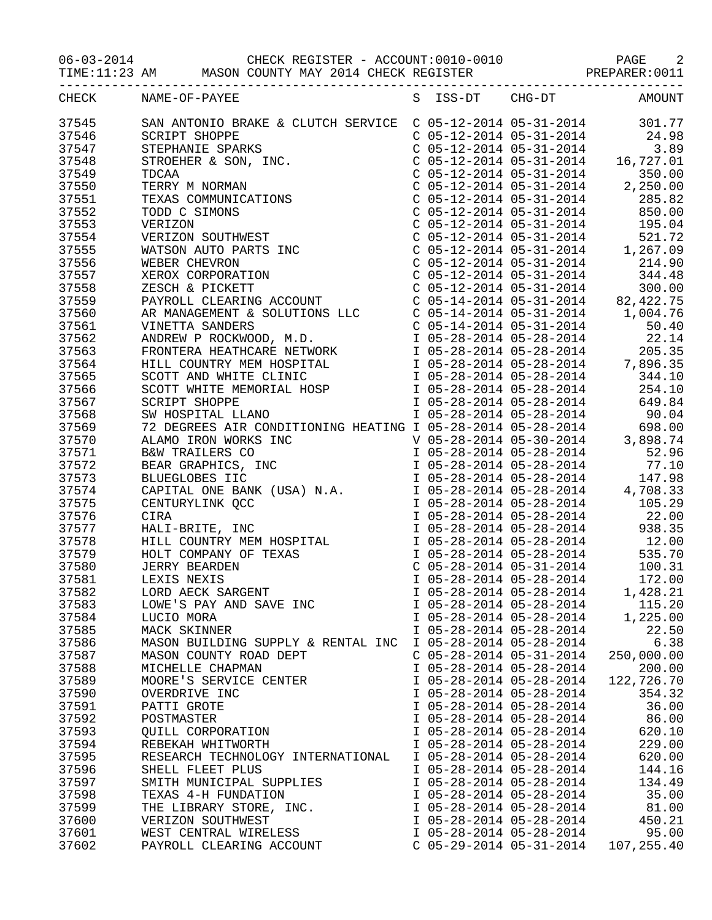06-03-2014 CHECK REGISTER - ACCOUNT:0010-0010 PAGE 2

TIME:11:23 AM MASON COUNTY MAY 2014 CHECK REGISTER PREPARER:0011

|       | CHECK NAME-OF-PAYEE                                                                                                                                                                                                                     |                           | S ISS-DT CHG-DT           | AMOUNT     |
|-------|-----------------------------------------------------------------------------------------------------------------------------------------------------------------------------------------------------------------------------------------|---------------------------|---------------------------|------------|
| 37545 | SAN ANTONIO BRAKE & CLUTCH SERVICE C 05-12-2014 05-31-2014 301.77<br>SCRIPT SHOPPE C 05-12-2014 05-31-2014 24.98<br>STEPHANIE SPARKS C 05-12-2014 05-31-2014 3.89<br>STROEHER & SON, INC.<br>C 05-12-2014 05-31-2014 16,727.01<br>TDCAA |                           |                           |            |
| 37546 |                                                                                                                                                                                                                                         |                           |                           |            |
| 37547 |                                                                                                                                                                                                                                         |                           |                           |            |
|       |                                                                                                                                                                                                                                         |                           |                           |            |
| 37548 |                                                                                                                                                                                                                                         |                           |                           |            |
| 37549 |                                                                                                                                                                                                                                         |                           |                           |            |
| 37550 |                                                                                                                                                                                                                                         |                           |                           |            |
| 37551 |                                                                                                                                                                                                                                         |                           |                           |            |
| 37552 |                                                                                                                                                                                                                                         |                           |                           |            |
| 37553 |                                                                                                                                                                                                                                         |                           |                           |            |
| 37554 |                                                                                                                                                                                                                                         |                           |                           |            |
| 37555 |                                                                                                                                                                                                                                         |                           |                           |            |
| 37556 |                                                                                                                                                                                                                                         |                           |                           |            |
| 37557 |                                                                                                                                                                                                                                         |                           |                           |            |
| 37558 |                                                                                                                                                                                                                                         |                           |                           |            |
| 37559 |                                                                                                                                                                                                                                         |                           |                           |            |
| 37560 |                                                                                                                                                                                                                                         |                           |                           |            |
| 37561 |                                                                                                                                                                                                                                         |                           |                           |            |
|       |                                                                                                                                                                                                                                         |                           |                           |            |
| 37562 |                                                                                                                                                                                                                                         |                           |                           |            |
| 37563 |                                                                                                                                                                                                                                         |                           |                           |            |
| 37564 |                                                                                                                                                                                                                                         |                           |                           |            |
| 37565 |                                                                                                                                                                                                                                         |                           |                           |            |
| 37566 |                                                                                                                                                                                                                                         |                           |                           |            |
| 37567 |                                                                                                                                                                                                                                         |                           |                           |            |
| 37568 |                                                                                                                                                                                                                                         |                           |                           |            |
| 37569 |                                                                                                                                                                                                                                         |                           |                           |            |
| 37570 |                                                                                                                                                                                                                                         |                           |                           |            |
| 37571 |                                                                                                                                                                                                                                         |                           |                           |            |
| 37572 |                                                                                                                                                                                                                                         |                           |                           |            |
| 37573 |                                                                                                                                                                                                                                         |                           |                           |            |
| 37574 |                                                                                                                                                                                                                                         |                           |                           |            |
| 37575 |                                                                                                                                                                                                                                         |                           |                           |            |
| 37576 |                                                                                                                                                                                                                                         |                           |                           |            |
| 37577 |                                                                                                                                                                                                                                         |                           |                           |            |
| 37578 |                                                                                                                                                                                                                                         |                           |                           |            |
| 37579 |                                                                                                                                                                                                                                         |                           |                           |            |
|       |                                                                                                                                                                                                                                         |                           |                           |            |
| 37580 |                                                                                                                                                                                                                                         |                           |                           |            |
| 37581 |                                                                                                                                                                                                                                         |                           |                           |            |
| 37582 |                                                                                                                                                                                                                                         |                           |                           |            |
| 37583 | LOWE'S PAY AND SAVE INC                                                                                                                                                                                                                 | I 05-28-2014 05-28-2014   |                           | 115.20     |
| 37584 | LUCIO MORA                                                                                                                                                                                                                              | I 05-28-2014 05-28-2014   |                           | 1,225.00   |
| 37585 | MACK SKINNER                                                                                                                                                                                                                            | I 05-28-2014 05-28-2014   |                           | 22.50      |
| 37586 | MASON BUILDING SUPPLY & RENTAL INC                                                                                                                                                                                                      | I 05-28-2014 05-28-2014   |                           | 6.38       |
| 37587 | MASON COUNTY ROAD DEPT                                                                                                                                                                                                                  | $C$ 05-28-2014 05-31-2014 |                           | 250,000.00 |
| 37588 | MICHELLE CHAPMAN                                                                                                                                                                                                                        | I 05-28-2014 05-28-2014   |                           | 200.00     |
| 37589 | MOORE'S SERVICE CENTER                                                                                                                                                                                                                  | I 05-28-2014 05-28-2014   |                           | 122,726.70 |
| 37590 | OVERDRIVE INC                                                                                                                                                                                                                           | I 05-28-2014 05-28-2014   |                           | 354.32     |
| 37591 | PATTI GROTE                                                                                                                                                                                                                             | I 05-28-2014 05-28-2014   |                           | 36.00      |
| 37592 | POSTMASTER                                                                                                                                                                                                                              | I 05-28-2014 05-28-2014   |                           | 86.00      |
| 37593 | QUILL CORPORATION                                                                                                                                                                                                                       | I 05-28-2014 05-28-2014   |                           | 620.10     |
| 37594 | REBEKAH WHITWORTH                                                                                                                                                                                                                       | I 05-28-2014 05-28-2014   |                           | 229.00     |
| 37595 | RESEARCH TECHNOLOGY INTERNATIONAL                                                                                                                                                                                                       | I 05-28-2014 05-28-2014   |                           | 620.00     |
| 37596 | SHELL FLEET PLUS                                                                                                                                                                                                                        | I 05-28-2014 05-28-2014   |                           | 144.16     |
| 37597 | SMITH MUNICIPAL SUPPLIES                                                                                                                                                                                                                | I 05-28-2014 05-28-2014   |                           | 134.49     |
| 37598 | TEXAS 4-H FUNDATION                                                                                                                                                                                                                     | I 05-28-2014 05-28-2014   |                           | 35.00      |
| 37599 | THE LIBRARY STORE, INC.                                                                                                                                                                                                                 | I 05-28-2014 05-28-2014   |                           | 81.00      |
|       |                                                                                                                                                                                                                                         |                           |                           |            |
| 37600 | VERIZON SOUTHWEST                                                                                                                                                                                                                       | I 05-28-2014 05-28-2014   |                           | 450.21     |
| 37601 | WEST CENTRAL WIRELESS                                                                                                                                                                                                                   | I 05-28-2014 05-28-2014   |                           | 95.00      |
| 37602 | PAYROLL CLEARING ACCOUNT                                                                                                                                                                                                                |                           | $C$ 05-29-2014 05-31-2014 | 107,255.40 |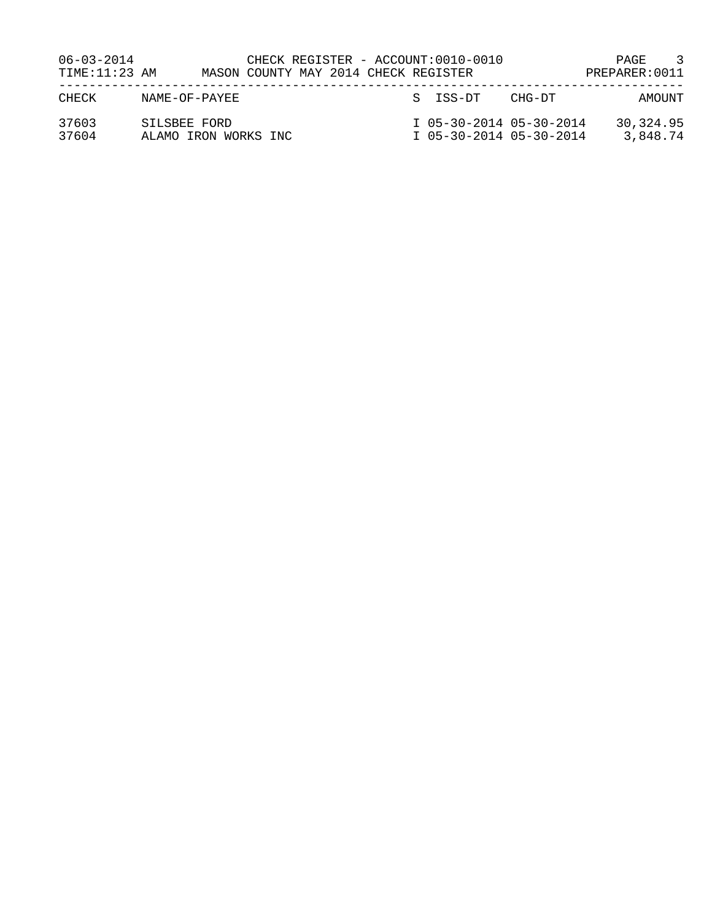| $06 - 03 - 2014$<br>TIME: 11:23 AM |                                      | CHECK REGISTER - ACCOUNT:0010-0010<br>MASON COUNTY MAY 2014 CHECK REGISTER |  |                                                    |        | $\overline{\mathbf{3}}$<br>PAGE<br>PREPARER: 0011 |
|------------------------------------|--------------------------------------|----------------------------------------------------------------------------|--|----------------------------------------------------|--------|---------------------------------------------------|
| CHECK                              | NAME-OF-PAYEE                        |                                                                            |  | S ISS-DT                                           | CHG-DT | AMOUNT                                            |
| 37603<br>37604                     | SILSBEE FORD<br>ALAMO IRON WORKS INC |                                                                            |  | I 05-30-2014 05-30-2014<br>I 05-30-2014 05-30-2014 |        | 30, 324, 95<br>3,848.74                           |